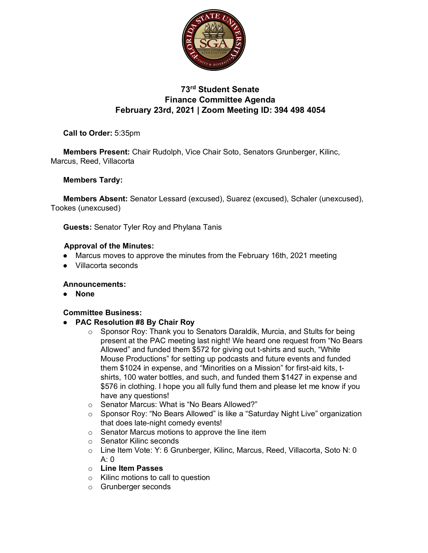

# **73rd Student Senate Finance Committee Agenda February 23rd, 2021 | Zoom Meeting ID: 394 498 4054**

**Call to Order:** 5:35pm

**Members Present:** Chair Rudolph, Vice Chair Soto, Senators Grunberger, Kilinc, Marcus, Reed, Villacorta

#### **Members Tardy:**

**Members Absent:** Senator Lessard (excused), Suarez (excused), Schaler (unexcused), Tookes (unexcused)

**Guests:** Senator Tyler Roy and Phylana Tanis

#### **Approval of the Minutes:**

- Marcus moves to approve the minutes from the February 16th, 2021 meeting
- Villacorta seconds

#### **Announcements:**

● **None**

### **Committee Business:**

- **PAC Resolution #8 By Chair Roy**
	- o Sponsor Roy: Thank you to Senators Daraldik, Murcia, and Stults for being present at the PAC meeting last night! We heard one request from "No Bears Allowed" and funded them \$572 for giving out t-shirts and such, "White Mouse Productions" for setting up podcasts and future events and funded them \$1024 in expense, and "Minorities on a Mission" for first-aid kits, tshirts, 100 water bottles, and such, and funded them \$1427 in expense and \$576 in clothing. I hope you all fully fund them and please let me know if you have any questions!
	- o Senator Marcus: What is "No Bears Allowed?"
	- o Sponsor Roy: "No Bears Allowed" is like a "Saturday Night Live" organization that does late-night comedy events!
	- o Senator Marcus motions to approve the line item
	- o Senator Kilinc seconds
	- o Line Item Vote: Y: 6 Grunberger, Kilinc, Marcus, Reed, Villacorta, Soto N: 0  $A: 0$
	- o **Line Item Passes**
	- o Kilinc motions to call to question
	- o Grunberger seconds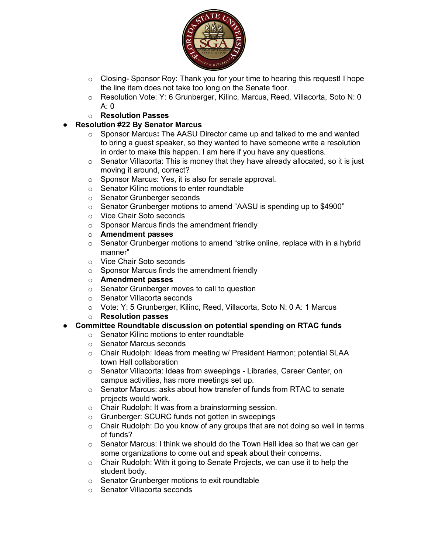

- $\circ$  Closing- Sponsor Roy: Thank you for your time to hearing this request! I hope the line item does not take too long on the Senate floor.
- o Resolution Vote: Y: 6 Grunberger, Kilinc, Marcus, Reed, Villacorta, Soto N: 0 A: 0
- o **Resolution Passes**
- **Resolution #22 By Senator Marcus** 
	- o Sponsor Marcus**:** The AASU Director came up and talked to me and wanted to bring a guest speaker, so they wanted to have someone write a resolution in order to make this happen. I am here if you have any questions.
	- o Senator Villacorta: This is money that they have already allocated, so it is just moving it around, correct?
	- o Sponsor Marcus: Yes, it is also for senate approval.
	- o Senator Kilinc motions to enter roundtable
	- o Senator Grunberger seconds
	- o Senator Grunberger motions to amend "AASU is spending up to \$4900"
	- o Vice Chair Soto seconds
	- o Sponsor Marcus finds the amendment friendly
	- o **Amendment passes**
	- $\circ$  Senator Grunberger motions to amend "strike online, replace with in a hybrid manner"
	- o Vice Chair Soto seconds
	- o Sponsor Marcus finds the amendment friendly
	- o **Amendment passes**
	- o Senator Grunberger moves to call to question
	- o Senator Villacorta seconds
	- o Vote: Y: 5 Grunberger, Kilinc, Reed, Villacorta, Soto N: 0 A: 1 Marcus
	- o **Resolution passes**

#### ● **Committee Roundtable discussion on potential spending on RTAC funds**

- o Senator Kilinc motions to enter roundtable
- o Senator Marcus seconds
- o Chair Rudolph: Ideas from meeting w/ President Harmon; potential SLAA town Hall collaboration
- o Senator Villacorta: Ideas from sweepings Libraries, Career Center, on campus activities, has more meetings set up.
- o Senator Marcus: asks about how transfer of funds from RTAC to senate projects would work.
- o Chair Rudolph: It was from a brainstorming session.
- o Grunberger: SCURC funds not gotten in sweepings
- $\circ$  Chair Rudolph: Do you know of any groups that are not doing so well in terms of funds?
- $\circ$  Senator Marcus: I think we should do the Town Hall idea so that we can ger some organizations to come out and speak about their concerns.
- o Chair Rudolph: With it going to Senate Projects, we can use it to help the student body.
- o Senator Grunberger motions to exit roundtable
- o Senator Villacorta seconds